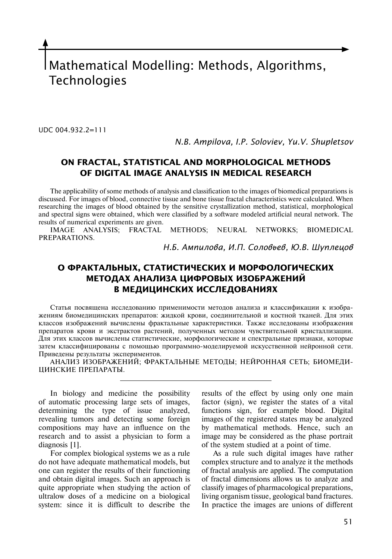Mathematical Modelling: Methods, Algorithms, Technologies

UDC 004.932.2=111

*N.B. Ampilova, I.P. Soloviev, Yu.V. Shupletsov*

# **ON FRACTAL, STATISTICAL AND MORPHOLOGICAL METHODS OF DIGITAL IMAGE ANALYSIS IN MEDICAL RESEARCH**

The applicability of some methods of analysis and classification to the images of biomedical preparations is discussed. For images of blood, connective tissue and bone tissue fractal characteristics were calculated. When researching the images of blood obtained by the sensitive crystallization method, statistical, morphological and spectral signs were obtained, which were classified by a software modeled artificial neural network. The results of numerical experiments are given.<br>IMAGE ANALYSIS; FRACTAL

METHODS; NEURAL NETWORKS; BIOMEDICAL PREPARATIONS.

*Н.Б. Ампилова, И.П. Соловьев, Ю.В. Шуплецов*

# **О ФРАКТАЛЬНЫХ, СТАТИСТИЧЕСКИХ И МОРФОЛОГИЧЕСКИХ МЕТОДАХ АНАЛИЗА ЦИФРОВЫХ ИЗОБРАЖЕНИЙ В МЕДИЦИНСКИХ ИССЛЕДОВАНИЯХ**

Статья посвящена исследованию применимости методов анализа и классификации к изображениям биомедицинских препаратов: жидкой крови, соединительной и костной тканей. Для этих классов изображений вычислены фрактальные характеристики. Также исследованы изображения препаратов крови и экстрактов растений, полученных методом чувствительной кристаллизации. Для этих классов вычислены статистические, морфологические и спектральные признаки, которые затем классифицированы с помощью программно-моделируемой искусственной нейронной сети. Приведены результаты экспериментов.

АНАЛИЗ ИЗОБРАЖЕНИЙ; ФРАКТАЛЬНЫЕ МЕТОДЫ; НЕЙРОННАЯ СЕТЬ; БИОМЕДИ-ЦИНСКИЕ ПРЕПАРАТЫ.

In biology and medicine the possibility of automatic processing large sets of images, determining the type of issue analyzed, revealing tumors and detecting some foreign compositions may have an influence on the research and to assist a physician to form a diagnosis [1].

For complex biological systems we as a rule do not have adequate mathematical models, but one can register the results of their functioning and obtain digital images. Such an approach is quite appropriate when studying the action of ultralow doses of a medicine on a biological system: since it is difficult to describe the

results of the effect by using only one main factor (sign), we register the states of a vital functions sign, for example blood. Digital images of the registered states may be analyzed by mathematical methods. Hence, such an image may be considered as the phase portrait of the system studied at a point of time.

As a rule such digital images have rather complex structure and to analyze it the methods of fractal analysis are applied. The computation of fractal dimensions allows us to analyze and classify images of pharmacological preparations, living organism tissue, geological band fractures. In practice the images are unions of different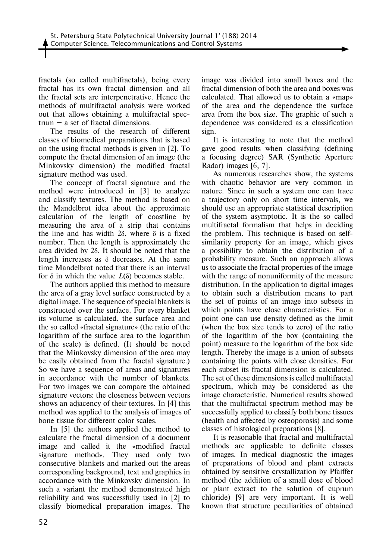fractals (so called multifractals), being every fractal has its own fractal dimension and all the fractal sets are interpenetrative. Hence the methods of multifractal analysis were worked out that allows obtaining a multifractal spectrum  $-$  a set of fractal dimensions.

The results of the research of different classes of biomedical preparations that is based on the using fractal methods is given in [2]. To compute the fractal dimension of an image (the Minkovsky dimension) the modified fractal signature method was used.

The concept of fractal signature and the method were introduced in [3] to analyze and classify textures. The method is based on the Mandelbrot idea about the approximate calculation of the length of coastline by measuring the area of a strip that contains the line and has width  $2δ$ , where  $δ$  is a fixed number. Then the length is approximately the area divided by 2δ. It should be noted that the length increases as  $\delta$  decreases. At the same time Mandelbrot noted that there is an interval for δ in which the value *L*(δ) becomes stable.

The authors applied this method to measure the area of a gray level surface constructed by a digital image. The sequence of special blankets is constructed over the surface. For every blanket its volume is calculated, the surface area and the so called «fractal signature» (the ratio of the logarithm of the surface area to the logarithm of the scale) is defined. (It should be noted that the Minkovsky dimension of the area may be easily obtained from the fractal signature.) So we have a sequence of areas and signatures in accordance with the number of blankets. For two images we can compare the obtained signature vectors: the closeness between vectors shows an adjacency of their textures. In [4] this method was applied to the analysis of images of bone tissue for different color scales.

In [5] the authors applied the method to calculate the fractal dimension of a document image and called it the «modified fractal signature method». They used only two consecutive blankets and marked out the areas corresponding background, text and graphics in accordance with the Minkovsky dimension. In such a variant the method demonstrated high reliability and was successfully used in [2] to classify biomedical preparation images. The

image was divided into small boxes and the fractal dimension of both the area and boxes was calculated. That allowed us to obtain a «map» of the area and the dependence the surface area from the box size. The graphic of such a dependence was considered as a classification sign.

It is interesting to note that the method gave good results when classifying (defining a focusing degree) SAR (Synthetic Aperture Radar) images [6, 7].

As numerous researches show, the systems with chaotic behavior are very common in nature. Since in such a system one can trace a trajectory only on short time intervals, we should use an appropriate statistical description of the system asymptotic. It is the so called multifractal formalism that helps in deciding the problem. This technique is based on selfsimilarity property for an image, which gives a possibility to obtain the distribution of a probability measure. Such an approach allows us to associate the fractal properties of the image with the range of nonuniformity of the measure distribution. In the application to digital images to obtain such a distribution means to part the set of points of an image into subsets in which points have close characteristics. For a point one can use density defined as the limit (when the box size tends to zero) of the ratio of the logarithm of the box (containing the point) measure to the logarithm of the box side length. Thereby the image is a union of subsets containing the points with close densities. For each subset its fractal dimension is calculated. The set of these dimensions is called multifractal spectrum, which may be considered as the image characteristic. Numerical results showed that the multifractal spectrum method may be successfully applied to classify both bone tissues (health and affected by osteoporosis) and some classes of histological preparations [8].

It is reasonable that fractal and multifractal methods are applicable to definite classes of images. In medical diagnostic the images of preparations of blood and plant extracts obtained by sensitive crystallization by Pfaiffer method (the addition of a small dose of blood or plant extract to the solution of cuprum chloride) [9] are very important. It is well known that structure peculiarities of obtained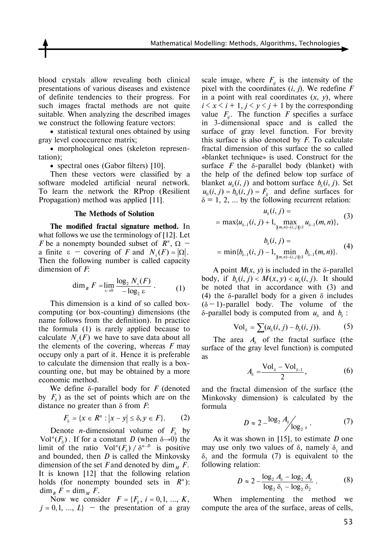blood crystals allow revealing both clinical presentations of various diseases and existence of definite tendencies to their progress. For such images fractal methods are not quite suitable. When analyzing the described images we construct the following feature vectors:

• statistical textural ones obtained by using gray level cooccurence matrix;

• morphological ones (skeleton representation);

• spectral ones (Gabor filters) [10].

Then these vectors were classified by a software modeled artificial neural network. To learn the network the RProp (Resilient Propagation) method was applied [11].

#### **The Methods of Solution**

**The modified fractal signature method.** In what follows we use the terminology of [12]. Let *F* be a nonempty bounded subset of  $R^n$ ,  $\Omega$  – a finite  $\varepsilon$  – covering of *F* and  $N_c(F) = |\Omega|$ . Then the following number is called capacity dimension of *F*:

$$
\dim_B F = \lim_{\varepsilon \to 0} \frac{\log_2 N_{\varepsilon}(F)}{-\log_2 \varepsilon} \,. \tag{1}
$$

This dimension is a kind of so called boxcomputing (or box-counting) dimensions (the name follows from the definition). In practice the formula (1) is rarely applied because to calculate  $N_{s}(F)$  we have to save data about all the elements of the covering, whereas *F* may occupy only a part of it. Hence it is preferable to calculate the dimension that really is a boxcounting one, but may be obtained by a more economic method.

We define δ-parallel body for *F* (denoted by  $F<sub>δ</sub>$ ) as the set of points which are on the distance no greater than δ from *F*:

$$
F_{\delta} = \{x \in \mathbb{R}^n : \left|x - y\right| \le \delta, y \in F\}. \tag{2}
$$

Denote *n*-dimensional volume of  $F_{\delta}$  by Vol<sup>*n*</sup>( $F<sub>δ</sub>$ ). If for a constant *D* (when  $δ \rightarrow 0$ ) the limit of the ratio  $Vol^n(F_{\delta}) / \delta^{n-D}$  is positive and bounded, then *D* is called the Minkovsky dimension of the set *F* and denoted by dim  $\mu$  *F*. It is known [12] that the following relation holds (for nonempty bounded sets in  $R^n$ ):  $\dim_B F = \dim_M F$ .

Now we consider  $F = \{F_{ij}, i = 0,1, ..., K\}$  $j = 0, 1, ..., L$  – the presentation of a gray scale image, where  $F_{ij}$  is the intensity of the pixel with the coordinates (*i*, *j*). We redefine *F* in a point with real coordinates (*x*, *y*), where  $i \leq x \leq i+1, j \leq y \leq j+1$  by the corresponding value  $F_{ii}$ . The function *F* specifies a surface in 3-dimensional space and is called the surface of gray level function. For brevity this surface is also denoted by *F*. To calculate fractal dimension of this surface the so called «blanket technique» is used. Construct for the surface  $F$  the  $\delta$ -parallel body (blanket) with the help of the defined below top surface of blanket  $u_s(i, j)$  and bottom surface  $b_s(i, j)$ . Set  $u_0(i, j) = b_0(i, j) = F_{ij}$  and define surfaces for  $\delta = 1, 2, ...$  by the following recurrent relation:

$$
u_{\delta}(i, j) = \max\{u_{\delta-1}(i, j) + 1, \max_{|(m,n)-(i,j)|\leq 1} u_{\delta-1}(m, n)\},
$$
 (3)

$$
b_{\delta}(i, j) =
$$
  
= min{ $b_{\delta-1}(i, j) - 1$ , min<sub>|(m,n)-(i,j)|\le 1</sub>  $b_{\delta-1}(m, n)$ } (4)

A point  $M(x, y)$  is included in the  $\delta$ -parallel body, if  $b_s(i, j) < M(x, y) < u_s(i, j)$ . It should be noted that in accordance with (3) and (4) the  $\delta$ -parallel body for a given  $\delta$  includes  $(\delta - 1)$ -parallel body. The volume of the δ-parallel body is computed from  $u<sub>δ</sub>$  and  $b<sub>δ</sub>$ :

$$
\text{Vol}_{\delta} = \sum (u_{\delta}(i,j) - b_{\delta}(i,j)). \tag{5}
$$

The area  $A_{\delta}$  of the fractal surface (the surface of the gray level function) is computed as

$$
A_{\delta} = \frac{\text{Vol}_{\delta} - \text{Vol}_{\delta - 1}}{2}, \tag{6}
$$

and the fractal dimension of the surface (the Minkovsky dimension) is calculated by the formula

$$
D \approx 2 - \frac{\log_2 A_{\delta}}{\log_2 \delta} \,. \tag{7}
$$

As it was shown in [15], to estimate *D* one may use only two values of  $\delta$ , namely  $\delta_1$  and  $\delta_2$  and the formula (7) is equivalent to the following relation:

$$
D \approx 2 - \frac{\log_2 A_s - \log_2 A_s}{\log_2 \delta_1 - \log_2 \delta_2} \,. \tag{8}
$$

When implementing the method we compute the area of the surface, areas of cells,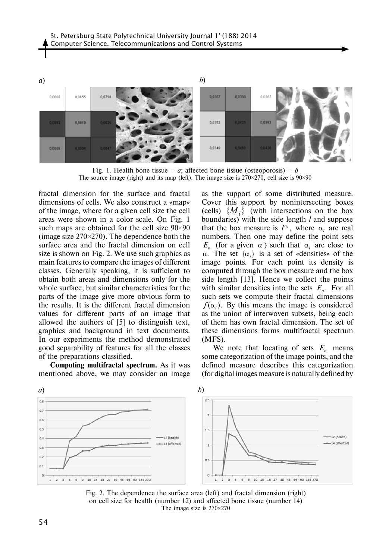

Fig. 1. Health bone tissue – *a*; affected bone tissue (osteoporosis) – *b* The source image (right) and its map (left). The image size is  $270 \times 270$ , cell size is  $90 \times 90$ 

fractal dimension for the surface and fractal dimensions of cells. We also construct a «map» of the image, where for a given cell size the cell areas were shown in a color scale. On Fig. 1 such maps are obtained for the cell size 90×90 (image size  $270\times270$ ). The dependence both the surface area and the fractal dimension on cell size is shown on Fig. 2. We use such graphics as main features to compare the images of different classes. Generally speaking, it is sufficient to obtain both areas and dimensions only for the whole surface, but similar characteristics for the parts of the image give more obvious form to the results. It is the different fractal dimension values for different parts of an image that allowed the authors of [5] to distinguish text, graphics and background in text documents. In our experiments the method demonstrated good separability of features for all the classes of the preparations classified.

**Computing multifractal spectrum.** As it was mentioned above, we may consider an image as the support of some distributed measure. Cover this support by nonintersecting boxes (cells)  $\{M_i\}$  (with intersections on the box boundaries) with the side length *l* and suppose that the box measure is  $l^{\alpha_i}$ , where  $\alpha_i$  are real numbers. Then one may define the point sets *E<sub>α</sub>* (for a given  $\alpha$ ) such that  $\alpha$ <sub>*i*</sub> are close to α. The set  $\{\alpha_i\}$  is a set of «densities» of the image points. For each point its density is computed through the box measure and the box side length [13]. Hence we collect the points with similar densities into the sets  $E_a$ . For all such sets we compute their fractal dimensions  $f(\alpha_i)$ . By this means the image is considered as the union of interwoven subsets, being each of them has own fractal dimension. The set of these dimensions forms multifractal spectrum (MFS).

We note that locating of sets  $E_a$  means some categorization of the image points, and the defined measure describes this categorization (for digital images measure is naturally defined by



Fig. 2. The dependence the surface area (left) and fractal dimension (right) on cell size for health (number 12) and affected bone tissue (number 14) The image size is 270×270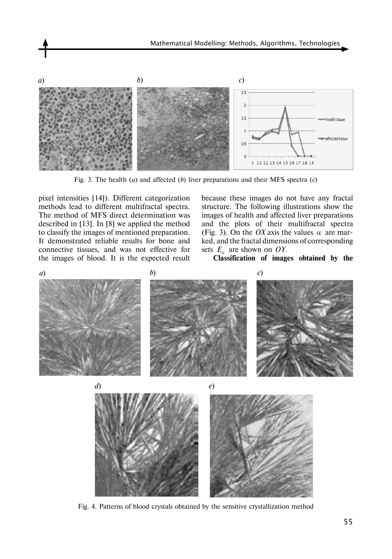

Fig. 3. The health (*a*) and affected (*b*) liver preparations and their MFS spectra (*c*)

pixel intensities [14]). Different categorization methods lead to different multifractal spectra. The method of MFS direct determination was described in [13]. In [8] we applied the method to classify the images of mentioned preparation. It demonstrated reliable results for bone and connective tissues, and was not effective for the images of blood. It is the expected result

because these images do not have any fractal structure. The following illustrations show the images of health and affected liver preparations and the plots of their multifractal spectra (Fig. 3). On the *OX* axis the values  $\alpha$  are marked, and the fractal dimensions of corresponding sets  $E_a$  are shown on *OY*.

**Classification of images obtained by the** 



Fig. 4. Patterns of blood crystals obtained by the sensitive crystallization method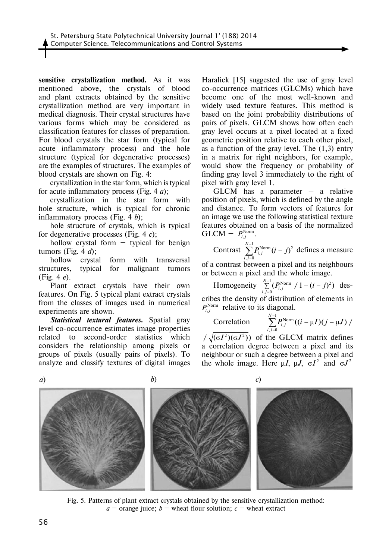**sensitive crystallization method.** As it was mentioned above, the crystals of blood and plant extracts obtained by the sensitive crystallization method are very important in medical diagnosis. Their crystal structures have various forms which may be considered as classification features for classes of preparation. For blood crystals the star form (typical for acute inflammatory process) and the hole structure (typical for degenerative processes) are the examples of structures. The examples of blood crystals are shown on Fig. 4:

crystallization in the star form, which is typical for acute inflammatory process (Fig. 4 *a*);

crystallization in the star form with hole structure, which is typical for chronic inflammatory process (Fig. 4 *b*);

hole structure of crystals, which is typical for degenerative processes (Fig. 4 *c*);

hollow crystal form  $-$  typical for benign tumors (Fig. 4 *d*);

hollow crystal form with transversal structures, typical for malignant tumors (Fig. 4 *e*).

Plant extract crystals have their own features. On Fig. 5 typical plant extract crystals from the classes of images used in numerical experiments are shown.

*Statistical textural features.* Spatial gray level co-occurrence estimates image properties 1 *N* − related to second-order statistics which  $/\sqrt{(\sigma I^2)(\sigma J^2)}$ considers the relationship among pixels or groups of pixels (usually pairs of pixels). To analyze and classify textures of digital images

Haralick [15] suggested the use of gray level co-occurrence matrices (GLCMs) which have become one of the most well-known and widely used texture features. This method is based on the joint probability distributions of pairs of pixels. GLCM shows how often each gray level occurs at a pixel located at a fixed geometric position relative to each other pixel, as a function of the gray level. The  $(1,3)$  entry in a matrix for right neighbors, for example, would show the frequency or probability of finding gray level 3 immediately to the right of pixel with gray level 1.

 $GLCM$  has a parameter – a relative position of pixels, which is defined by the angle and distance. To form vectors of features for an image we use the following statistical texture features obtained on a basis of the normalized  $GLCM - P_{i,j}^{\text{Norm}}$ .

Contrast 
$$
\sum_{i,j=0}^{N-1} P_{i,j}^{\text{Norm}} (i-j)^2
$$
 defines a measure

of a contrast between a pixel and its neighbours or between a pixel and the whole image.

Homogeneity  $\sum_{i=1}^{N-1} (P_i^{\text{Norm}} / 1 + (i - j)^2)$  $\sum_{i,j=0}^{N-1} (P_{i,j}^{\text{Norm}} / 1 + (i - j)^2)$  describes the density of distribution of elements in  $P_{i,j}^{\text{Norm}}$  relative to its diagonal.

Correlation 
$$
\sum_{i,j=0}^{N-1} P_{i,j}^{\text{Norm}}((i - \mu I)(j - \mu J))
$$

For statistics which  $/\sqrt{(\sigma I^2)(\sigma J^2)}$  of the GLCM matrix defines a correlation degree between a pixel and its neighbour or such a degree between a pixel and the whole image. Here  $\mu I$ ,  $\mu J$ ,  $\sigma I^2$  and  $\sigma J^2$ 





Fig. 5. Patterns of plant extract crystals obtained by the sensitive crystallization method:  $a$  – orange juice;  $b$  – wheat flour solution;  $c$  – wheat extract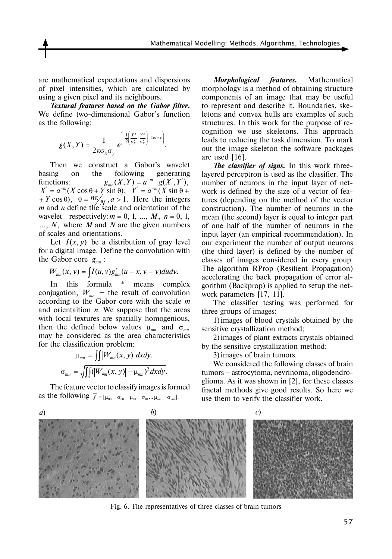are mathematical expectations and dispersions of pixel intensities, which are calculated by using a given pixel and its neighbours.

*Textural features based on the Gabor filter.*  We define two-dimensional Gabor's function as the following:

$$
g(X,Y)=\frac{1}{2\pi\sigma_x\sigma_y}e^{\left(-\frac{1}{2}\left(\frac{X^2}{\sigma_x^2}+\frac{Y^2}{\sigma_y^2}\right)+2\pi i\omega x\right)}.
$$

Then we construct a Gabor's wavelet basing on the following generating functions:  $g_{mn}(X, Y) = a^{-m} \cdot g(X', Y'),$  numl<br>  $X' = a^{-m}(X \cos \theta + Y \sin \theta),$   $Y' = a^{-m}(X \sin \theta + \text{work})$  $(Y + Y \cos \theta)$ ,  $\theta = \frac{n\pi}{N}, a > 1$ . Here the integers *m* and *n* define the scale and orientation of the wavelet respectively:  $m = 0, 1, ..., M, n = 0, 1,$ *m, N, where M and N are the given numbers* of scales and orientations.

> Let  $I(x, y)$  be a distribution of gray level for a digital image. Define the convolution with the Gabor core  $g_{mn}$ :

$$
W_{mn}(x, y) = \int I(u, v) g_{mn}^*(u - x, v - y) du dv.
$$

In this formula \* means complex conjugation,  $W_{mn}$  – the result of convolution according to the Gabor core with the scale *m* and orientaition *n*. We suppose that the areas with local textures are spatially homogenious, then the defined below values  $\mu_{mn}$  and  $\sigma_{mn}$ may be considered as the area characteristics for the classification problem:

$$
\mu_{mn} = \iiint |W_{mn}(x, y)| dxdy.
$$
  

$$
\sigma_{mn} = \sqrt{\int (|W_{mn}(x, y)| - \mu_{mn})^2 dxdy}.
$$

The feature vector to classify images is formed as the following  $\overline{f} = [\mu_{00} \quad \sigma_{00} \quad \mu_{01} \quad \sigma_{01} \dots \mu_{mn} \quad \sigma_{mn}].$ 

*Morphological features.* Mathematical morphology is a method of obtaining structure components of an image that may be useful to represent and describe it. Boundaries, skeletons and convex hulls are examples of such structures. In this work for the purpose of recognition we use skeletons. This approach leads to reducing the task dimension. To mark out the image skeleton the software packages are used [16].

*The classifier of signs.* In this work threelayered perceptron is used as the classifier. The number of neurons in the input layer of network is defined by the size of a vector of features (depending on the method of the vector construction). The number of neurons in the mean (the second) layer is equal to integer part of one half of the number of neurons in the input layer (an empirical recommendation). In our experiment the number of output neurons (the third layer) is defined by the number of classes of images considered in every group. The algorithm RProp (Resilient Propagation) accelerating the back propagation of error algorithm (Backprop) is applied to setup the network parameters [17, 11].

The classifier testing was performed for three groups of images:

1)images of blood crystals obtained by the sensitive crystallization method;

2)images of plant extracts crystals obtained by the sensitive crystallization method;

3)images of brain tumors.

We considered the following classes of brain tumors – astrocytoma, nevrinoma, oligodendroglioma. As it was shown in [2], for these classes fractal methods give good results. So here we use them to verify the classifier work.



Fig. 6. The representatives of three classes of brain tumors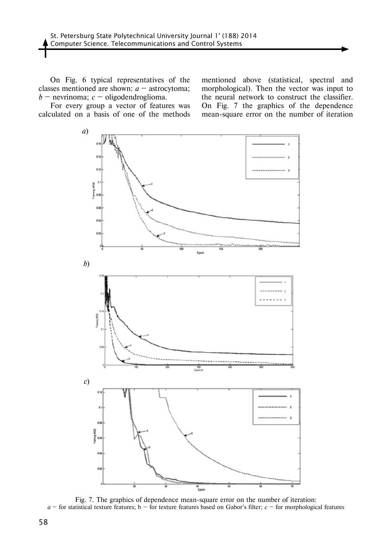On Fig. 6 typical representatives of the classes mentioned are shown: *a* – astrocytoma; *b* – nevrinoma; *c* – oligodendroglioma.

For every group a vector of features was calculated on a basis of one of the methods

mentioned above (statistical, spectral and morphological). Then the vector was input to the neural network to construct the classifier. On Fig. 7 the graphics of the dependence mean-square error on the number of iteration



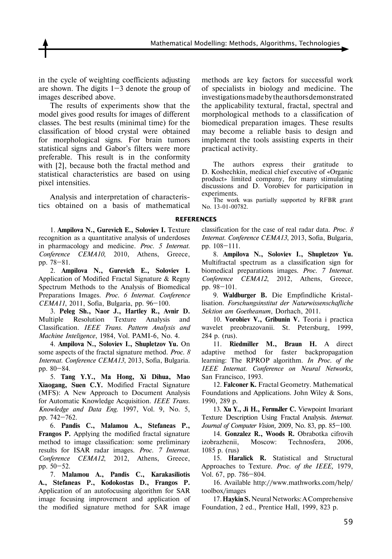Mathematical Modelling: Methods, Algorithms, Technologies

in the cycle of weighting coefficients adjusting are shown. The digits  $1-3$  denote the group of images described above.

The results of experiments show that the model gives good results for images of different classes. The best results (minimal time) for the classification of blood crystal were obtained for morphological signs. For brain tumors statistical signs and Gabor's filters were more preferable. This result is in the conformity with [2], because both the fractal method and statistical characteristics are based on using pixel intensities.

Analysis and interpretation of characteristics obtained on a basis of mathematical

1. **Ampilova N., Gurevich E., Soloviev I.** Texture recognition as a quantitative analysis of underdoses in pharmacology and medicine. *Proc. 5 Internat. Conference CEMA10*, 2010, Athens, Greece, pp. 78–81.

2. **Ampilova N., Gurevich E., Soloviev I.**  Application of Modified Fractal Signature & Regny Spectrum Methods to the Analysis of Biomedical Preparations Images. *Proc. 6 Internat. Conference CEMA11*, 2011, Sofia, Bulgaria, pp. 96–100.

3. **Peleg Sh., Naor J., Hartley R., Avnir D.** Multiple Resolution Texture Analysis and Classification. *IEEE Trans. Pattern Analysis and Machine Inteligence*, 1984, Vol. PAMI-6, No. 4.

4. **Ampilova N., Soloviev I., Shupletzov Yu.** On some aspects of the fractal signature method. *Proc. 8 Internat. Conference CEMA13*, 2013, Sofia, Bulgaria. pp. 80–84.

5. **Tang Y.Y., Ma Hong, Xi Dihua, Mao Xiaogang, Suen C.Y.** Modified Fractal Signature (MFS): A New Approach to Document Analysis for Automatic Knowledge Acquisition. *IEEE Trans. Knowledge and Data Eng.* 1997, Vol. 9, No. 5, pp. 742–762.

6. **Pandis C., Malamou A., Stefaneas P., Frangos P.** Applying the modified fractal signature method to image classification: some preliminary results for ISAR radar images. *Proc. 7 Internat. Conference CEMA12*, 2012, Athens, Greece, pp. 50–52.

7. **Malamou A., Pandis C., Karakasiliotis A., Stefaneas P., Kodokostas D., Frangos P.** Application of an autofocusing algorithm for SAR image focusing improvement and application of the modified signature method for SAR image

methods are key factors for successful work of specialists in biology and medicine. The investigations made by the authors demonstrated the applicability textural, fractal, spectral and morphological methods to a classification of biomedical preparation images. These results may become a reliable basis to design and implement the tools assisting experts in their practical activity.

The authors express their gratitude to D. Koshechkin, medical chief executive of «Organic product» limited company, for many stimulating discussions and D. Vorobiev for participation in experiments.

The work was partially supported by RFBR grant No. 13-01-00782.

### **References**

classification for the case of real radar data. *Proc. 8 Internat. Conference CEMA13*, 2013, Sofia, Bulgaria, pp. 108–111.

8. **Ampilova N., Soloviev I., Shupletzov Yu.** Multifractal spectrum as a classification sign for biomedical preparations images. *Proc. 7 Internat. Conference CEMA12*, 2012, Athens, Greece, pp. 98–101.

9. **Waldburger B.** Die Empfindliche Kristallisation. *Forschungsinstitut der Naturwissenschafliche Sektion am Goetheanum*, Dorhach, 2011.

10. **Vorobiev V., Gribunin V.** Teoria i practica wavelet preobrazovanii. St. Petersburg, 1999, 284 p. (rus).

11. **Riedmiller M., Braun H.** A direct adaptive method for faster backpropagation learning: The RPROP algorithm. *In Proc. of the IEEE Internat. Conference on Neural Networks,*  San Francisco, 1993.

12. **Falconer K.** Fractal Geometry. Mathematical Foundations and Applications. John Wiley & Sons, 1990, 289 p.

13. **Xu Y., Ji H., Fermaller C.** Viewpoint Invariant Texture Description Using Fractal Analysis. *Internat. Journal of Computer Vision,* 2009, No. 83, pp. 85–100.

14. **Gonzalez R., Woods R.** Obrabotka cifrovih izobrazhenii, Moscow: Technosfera, 2006, 1085 p. (rus)

15. **Haralick R.** Statistical and Structural Approaches to Texture. *Proc. of the IEEE,* 1979, Vol. 67, pp. 786–804.

16. Available http://www.mathworks.com/help/ toolbox/images

17. **Haykin S.** Neural Networks: A Comprehensive Foundation, 2 ed., Prentice Hall, 1999, 823 p.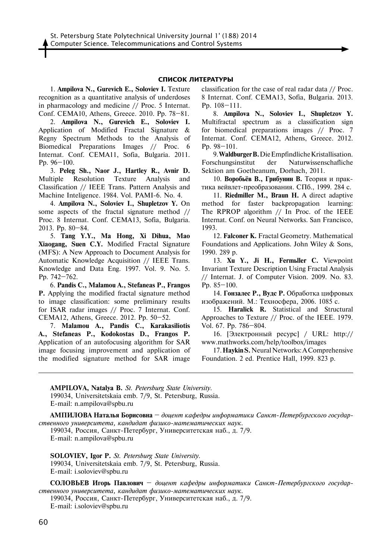### **СПИСОК ЛИТЕРАТУРЫ**

1. **Ampilova N., Gurevich E., Soloviev I.** Texture recognition as a quantitative analysis of underdoses in pharmacology and medicine // Proc. 5 Internat. Conf. CEMA10, Athens, Greece. 2010. Pp. 78–81.

2. **Ampilova N., Gurevich E., Soloviev I.** Application of Modified Fractal Signature & Regny Spectrum Methods to the Analysis of Biomedical Preparations Images // Proc. 6 Internat. Conf. CEMA11, Sofia, Bulgaria. 2011. Pp. 96–100.

3. **Peleg Sh., Naor J., Hartley R., Avnir D.** Multiple Resolution Texture Analysis and Classification // IEEE Trans. Pattern Analysis and Machine Inteligence. 1984. Vol. PAMI-6. No. 4.

4. **Ampilova N., Soloviev I., Shupletzov Y.** On some aspects of the fractal signature method // Proc. 8 Internat. Conf. CEMA13, Sofia, Bulgaria. 2013. Pp. 80–84.

5. **Tang Y.Y., Ma Hong, Xi Dihua, Mao Xiaogang, Suen C.Y.** Modified Fractal Signature (MFS): A New Approach to Document Analysis for Automatic Knowledge Acquisition // IEEE Trans. Knowledge and Data Eng. 1997. Vol. 9. No. 5. Pp. 742–762.

6. **Pandis C., Malamou A., Stefaneas P., Frangos P.** Applying the modified fractal signature method to image classification: some preliminary results for ISAR radar images // Proc. 7 Internat. Conf. CEMA12, Athens, Greece. 2012. Pp. 50–52.

7. **Malamou A., Pandis C., Karakasiliotis A., Stefaneas P., Kodokostas D., Frangos P.** Application of an autofocusing algorithm for SAR image focusing improvement and application of the modified signature method for SAR image

classification for the case of real radar data // Proc. 8 Internat. Conf. CEMA13, Sofia, Bulgaria. 2013. Pp. 108–111.

8. **Ampilova N., Soloviev I., Shupletzov Y.** Multifractal spectrum as a classification sign for biomedical preparations images // Proc. 7 Internat. Conf. CEMA12, Athens, Greece. 2012. Pp. 98–101.

9. **Waldburger B.** Die Empfindliche Kristallisation. Forschungsinstitut der Naturwissenschafliche Sektion am Goetheanum, Dorhach, 2011.

10. **Воробьёв В., Грибунин В.** Теория и практика вейвлет-преобразования. СПб., 1999. 284 с.

11. **Riedmiller M., Braun H.** A direct adaptive method for faster backpropagation learning: The RPROP algorithm // In Proc. of the IEEE Internat. Conf. on Neural Networks. San Francisco, 1993.

12. **Falconer K.** Fractal Geometry. Mathematical Foundations and Applications. John Wiley & Sons, 1990. 289 p.

13. Xu Y., Ji H., Fermbler C. Viewpoint Invariant Texture Description Using Fractal Analysis // Internat. J. of Computer Vision. 2009. No. 83. Pp. 85–100.

14. **Гонзалес Р., Вудс Р.** Обработка цифровых изображений. M.: Техносфера, 2006. 1085 с.

15. **Haralick R.** Statistical and Structural Approaches to Texture // Proc. of the IEEE. 1979. Vol. 67. Pp. 786–804.

16. [Электронный ресурс] / URL: http:// www.mathworks.com/help/toolbox/images

17. **Haykin S.** Neural Networks: A Comprehensive Foundation. 2 ed. Prentice Hall, 1999. 823 p.

**AMPILOVA, Natalya B.** *St. Petersburg State University*. 199034, Universitetskaia emb. 7/9, St. Petersburg, Russia. E-mail: n.ampilova@spbu.ru

**АМПИлОВА Наталья Борисовна** – *доцент кафедры информатики Санкт-Петербургского государственного университета, кандидат физико-математических наук.*

199034, Россия, Санкт-Петербург, Университетская наб., д. 7/9. E-mail: n.ampilova@spbu.ru

**SOLOVIEV, Igor P.** *St. Petersburg State University*. 199034, Universitetskaia emb. 7/9, St. Petersburg, Russia. E-mail: i.soloviev@spbu.ru

**СОлОВЬЕВ Игорь Павлович** – *доцент кафедры информатики Санкт-Петербургского государственного университета, кандидат физико-математических наук.*

199034, Россия, Санкт-Петербург, Университетская наб., д. 7/9. E-mail: i.soloviev@spbu.ru